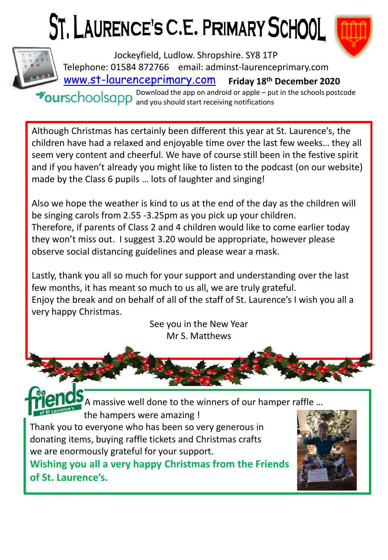## ST. LAURENCE'S C.E. PRIMARY SCHOOL





[www.st-laurenceprimary.com](http://www.st-laurenceprimary.com/) **Friday 18th December 2020** Jockeyfield, Ludlow. Shropshire. SY8 1TP Telephone: 01584 872766 email: adminst-laurenceprimary.com

Download the app on android or apple – put in the schools postcode and you should start receiving notifications

Although Christmas has certainly been different this year at St. Laurence's, the children have had a relaxed and enjoyable time over the last few weeks… they all seem very content and cheerful. We have of course still been in the festive spirit and if you haven't already you might like to listen to the podcast (on our website) made by the Class 6 pupils … lots of laughter and singing!

Also we hope the weather is kind to us at the end of the day as the children will be singing carols from 2.55 -3.25pm as you pick up your children. Therefore, if parents of Class 2 and 4 children would like to come earlier today they won't miss out. I suggest 3.20 would be appropriate, however please observe social distancing guidelines and please wear a mask.

Lastly, thank you all so much for your support and understanding over the last few months, it has meant so much to us all, we are truly grateful. Enjoy the break and on behalf of all of the staff of St. Laurence's I wish you all a very happy Christmas.

See you in the New Year Mr S. Matthews



A massive well done to the winners of our hamper raffle … the hampers were amazing !

Thank you to everyone who has been so very generous in donating items, buying raffle tickets and Christmas crafts we are enormously grateful for your support.

**Wishing you all a very happy Christmas from the Friends of St. Laurence's.**